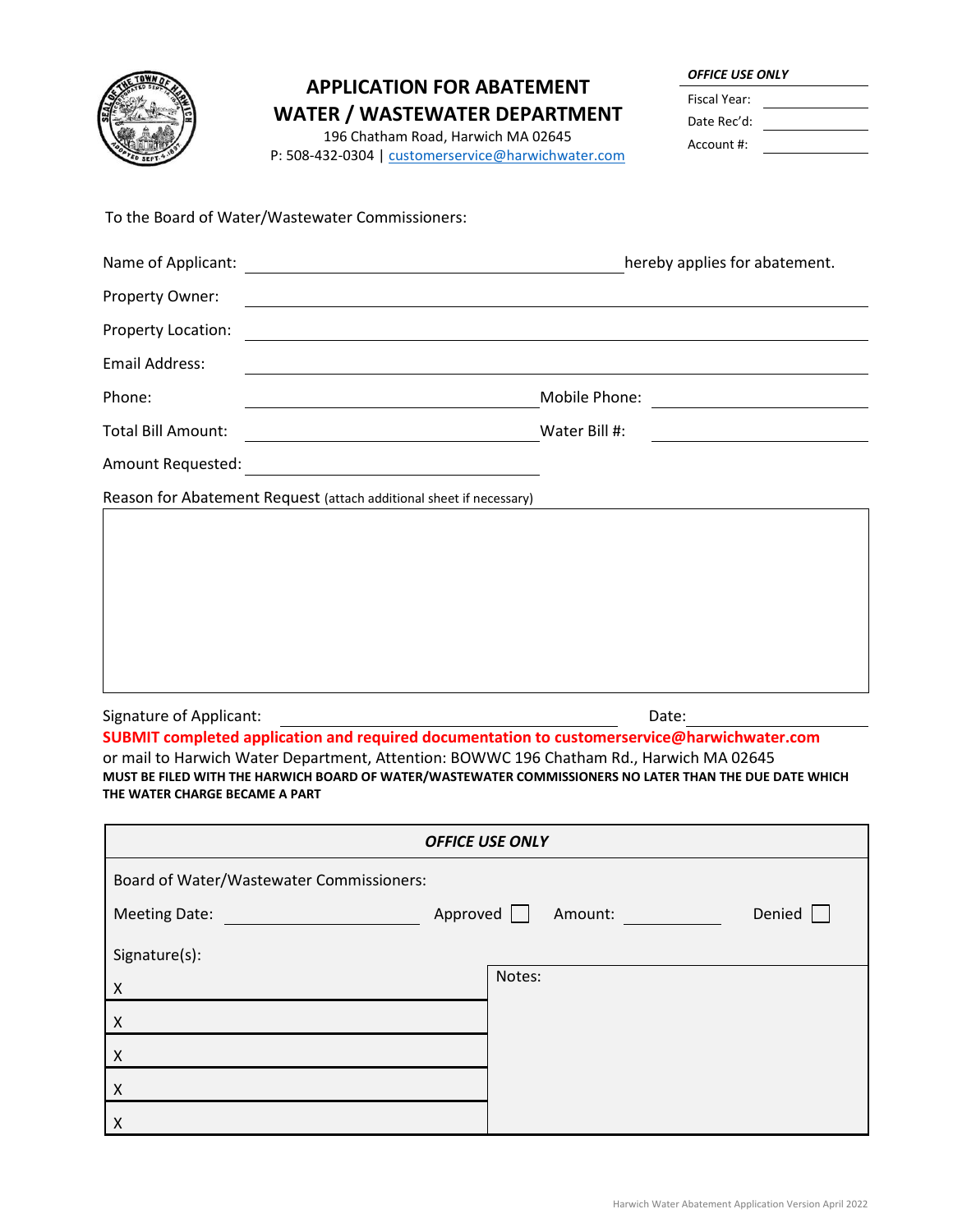|                           | <b>APPLICATION FOR ABATEMENT</b><br><b>WATER / WASTEWATER DEPARTMENT</b><br>196 Chatham Road, Harwich MA 02645<br>P: 508-432-0304   customerservice@harwichwater.com | <b>OFFICE USE ONLY</b><br>Fiscal Year:<br>Date Rec'd:<br>Account #: |
|---------------------------|----------------------------------------------------------------------------------------------------------------------------------------------------------------------|---------------------------------------------------------------------|
|                           | To the Board of Water/Wastewater Commissioners:                                                                                                                      |                                                                     |
|                           |                                                                                                                                                                      | hereby applies for abatement.                                       |
| Property Owner:           | <u> 1989 - Johann Barn, fransk politik (d. 1989)</u>                                                                                                                 |                                                                     |
| Property Location:        |                                                                                                                                                                      |                                                                     |
| <b>Email Address:</b>     |                                                                                                                                                                      |                                                                     |
| Phone:                    |                                                                                                                                                                      |                                                                     |
| <b>Total Bill Amount:</b> | Water Bill #:                                                                                                                                                        |                                                                     |
| Amount Requested:         | <u> 1989 - John Stein, Amerikaansk politiker (</u>                                                                                                                   |                                                                     |
|                           | Reason for Abatement Request (attach additional sheet if necessary)                                                                                                  |                                                                     |
|                           |                                                                                                                                                                      |                                                                     |

| <b>OFFICE USE ONLY</b>                   |                   |  |  |
|------------------------------------------|-------------------|--|--|
| Board of Water/Wastewater Commissioners: |                   |  |  |
| Approved<br><b>Meeting Date:</b>         | Denied<br>Amount: |  |  |
| Signature(s):                            |                   |  |  |
| $\pmb{\mathsf{X}}$                       | Notes:            |  |  |
| $\pmb{\mathsf{X}}$                       |                   |  |  |
| $\pmb{\mathsf{X}}$                       |                   |  |  |
| $\pmb{\mathsf{X}}$                       |                   |  |  |
| Χ                                        |                   |  |  |